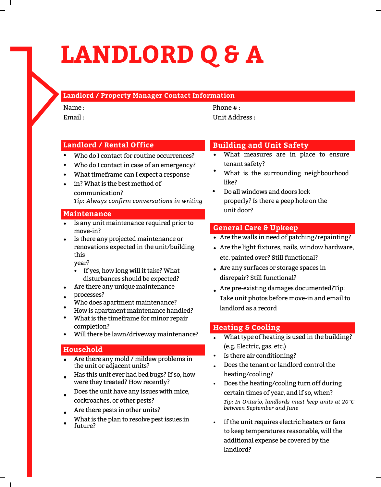# **LANDLORD Q & A**

# **Landlord / Property Manager Contact Information**

Name :  $Email \cdot$  Phone  $\#$   $\cdot$ Unit Address :

# **Landlord / Rental Office**

- Who do I contact for routine occurrences?
- Who do I contact in case of an emergency?
- What timeframe can I expect a response
- in? What is the best method of communication? *Tip: Always confirm conversations in writing*

#### **Maintenance**

- Is any unit maintenance required prior to move-in?
- Is there any projected maintenance or renovations expected in the unit/building this

year?

- If yes, how long will it take? What disturbances should be expected?
- Are there any unique maintenance
- processes?
- Who does apartment maintenance?
- How is apartment maintenance handled?
- What is the timeframe for minor repair completion?
- $\bullet$ Will there be lawn/driveway maintenance?

#### **Household**

- Are there any mold / mildew problems in the unit or adjacent units?
- Has this unit ever had bed bugs? If so, how were they treated? How recently?
- Does the unit have any issues with mice,
- cockroaches, or other pests?
- Are there pests in other units?
- What is the plan to resolve pest issues in future?

# **Building and Unit Safety**

- What measures are in place to ensure tenant safety?
- What is the surrounding [neighbourhood](http://data.torontopolice.on.ca/) like?
- Do all windows and doors lock properly? Is there a peep hole on the unit door?

# **General Care & Upkeep**

- Are the walls in need of patching/repainting?
- Are the light fixtures, nails, window hardware, etc. painted over? Still functional?
- Are any surfaces or storage spaces in disrepair? Still functional?
- Are pre-existing damages documented?Tip: Take unit photos before move-in and email to landlord as a record

# **Heating & Cooling**

- What type of heating is used in the building? (e.g. Electric, gas, etc.)
- Is there air conditioning?
- Does the tenant or landlord control the heating/cooling?
- Does the heating/cooling turn off during certain times of year, and if so, when? *Tip: In Ontario, landlords must keep units at 20°C between September and June* •
- If the unit requires electric heaters or fans to keep temperatures reasonable, will the additional expense be covered by the landlord?